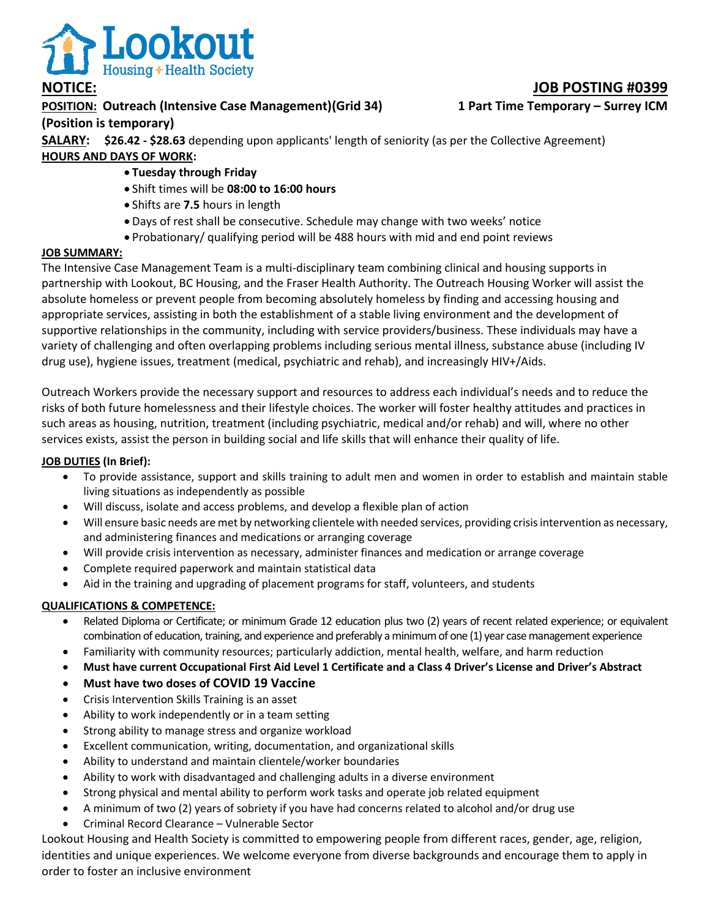

## **POSITION: Outreach (Intensive Case Management)(Grid 34) 1 Part Time Temporary – Surrey ICM (Position is temporary)**

**SALARY: \$26.42 - \$28.63** depending upon applicants' length of seniority (as per the Collective Agreement) **HOURS AND DAYS OF WORK:** 

- **Tuesday through Friday**
- Shift times will be **08:00 to 16:00 hours**
- Shifts are **7.5** hours in length
- Days of rest shall be consecutive. Schedule may change with two weeks' notice
- Probationary/ qualifying period will be 488 hours with mid and end point reviews

### **JOB SUMMARY:**

The Intensive Case Management Team is a multi-disciplinary team combining clinical and housing supports in partnership with Lookout, BC Housing, and the Fraser Health Authority. The Outreach Housing Worker will assist the absolute homeless or prevent people from becoming absolutely homeless by finding and accessing housing and appropriate services, assisting in both the establishment of a stable living environment and the development of supportive relationships in the community, including with service providers/business. These individuals may have a variety of challenging and often overlapping problems including serious mental illness, substance abuse (including IV drug use), hygiene issues, treatment (medical, psychiatric and rehab), and increasingly HIV+/Aids.

Outreach Workers provide the necessary support and resources to address each individual's needs and to reduce the risks of both future homelessness and their lifestyle choices. The worker will foster healthy attitudes and practices in such areas as housing, nutrition, treatment (including psychiatric, medical and/or rehab) and will, where no other services exists, assist the person in building social and life skills that will enhance their quality of life.

#### **JOB DUTIES (In Brief):**

- To provide assistance, support and skills training to adult men and women in order to establish and maintain stable living situations as independently as possible
- Will discuss, isolate and access problems, and develop a flexible plan of action
- Will ensure basic needs are met by networking clientele with needed services, providing crisis intervention as necessary, and administering finances and medications or arranging coverage
- Will provide crisis intervention as necessary, administer finances and medication or arrange coverage
- Complete required paperwork and maintain statistical data
- Aid in the training and upgrading of placement programs for staff, volunteers, and students

### **QUALIFICATIONS & COMPETENCE:**

- Related Diploma or Certificate; or minimum Grade 12 education plus two (2) years of recent related experience; or equivalent combination of education, training, and experience and preferably a minimum of one (1) year case management experience
- Familiarity with community resources; particularly addiction, mental health, welfare, and harm reduction
- **Must have current Occupational First Aid Level 1 Certificate and a Class 4 Driver's License and Driver's Abstract**
- **Must have two doses of COVID 19 Vaccine**
- Crisis Intervention Skills Training is an asset
- Ability to work independently or in a team setting
- Strong ability to manage stress and organize workload
- Excellent communication, writing, documentation, and organizational skills
- Ability to understand and maintain clientele/worker boundaries
- Ability to work with disadvantaged and challenging adults in a diverse environment
- Strong physical and mental ability to perform work tasks and operate job related equipment
- A minimum of two (2) years of sobriety if you have had concerns related to alcohol and/or drug use
- Criminal Record Clearance Vulnerable Sector

Lookout Housing and Health Society is committed to empowering people from different races, gender, age, religion, identities and unique experiences. We welcome everyone from diverse backgrounds and encourage them to apply in order to foster an inclusive environment

## **NOTICE: JOB POSTING #0399**